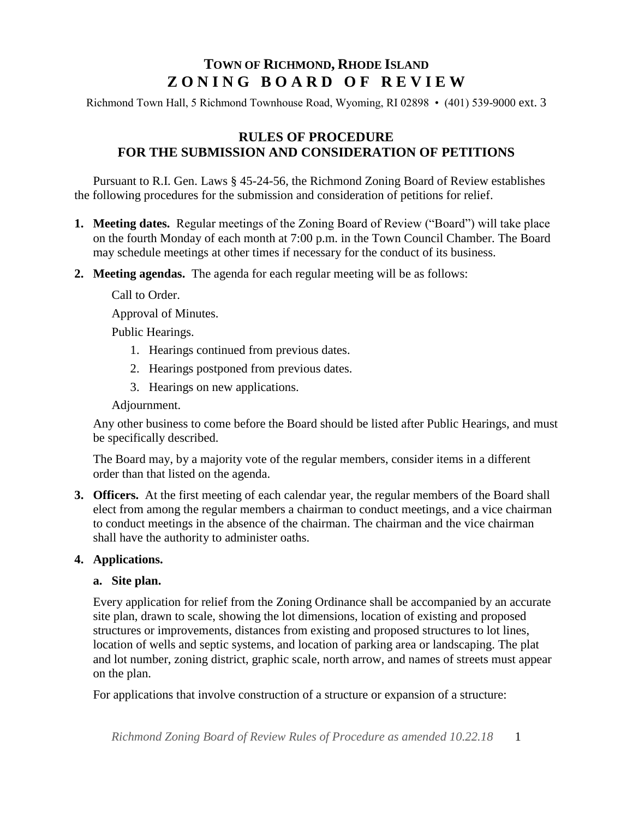# **TOWN OF RICHMOND, RHODE ISLAND Z O N I N G B O A R D O F R E V I E W**

Richmond Town Hall, 5 Richmond Townhouse Road, Wyoming, RI 02898 • (401) 539-9000 ext. 3

## **RULES OF PROCEDURE FOR THE SUBMISSION AND CONSIDERATION OF PETITIONS**

Pursuant to R.I. Gen. Laws § 45-24-56, the Richmond Zoning Board of Review establishes the following procedures for the submission and consideration of petitions for relief.

- **1. Meeting dates.** Regular meetings of the Zoning Board of Review ("Board") will take place on the fourth Monday of each month at 7:00 p.m. in the Town Council Chamber. The Board may schedule meetings at other times if necessary for the conduct of its business.
- **2. Meeting agendas.** The agenda for each regular meeting will be as follows:

Call to Order.

Approval of Minutes.

Public Hearings.

- 1. Hearings continued from previous dates.
- 2. Hearings postponed from previous dates.
- 3. Hearings on new applications.

Adjournment.

Any other business to come before the Board should be listed after Public Hearings, and must be specifically described.

The Board may, by a majority vote of the regular members, consider items in a different order than that listed on the agenda.

**3. Officers.** At the first meeting of each calendar year, the regular members of the Board shall elect from among the regular members a chairman to conduct meetings, and a vice chairman to conduct meetings in the absence of the chairman. The chairman and the vice chairman shall have the authority to administer oaths.

#### **4. Applications.**

#### **a. Site plan.**

Every application for relief from the Zoning Ordinance shall be accompanied by an accurate site plan, drawn to scale, showing the lot dimensions, location of existing and proposed structures or improvements, distances from existing and proposed structures to lot lines, location of wells and septic systems, and location of parking area or landscaping. The plat and lot number, zoning district, graphic scale, north arrow, and names of streets must appear on the plan.

For applications that involve construction of a structure or expansion of a structure:

*Richmond Zoning Board of Review Rules of Procedure as amended 10.22.18* 1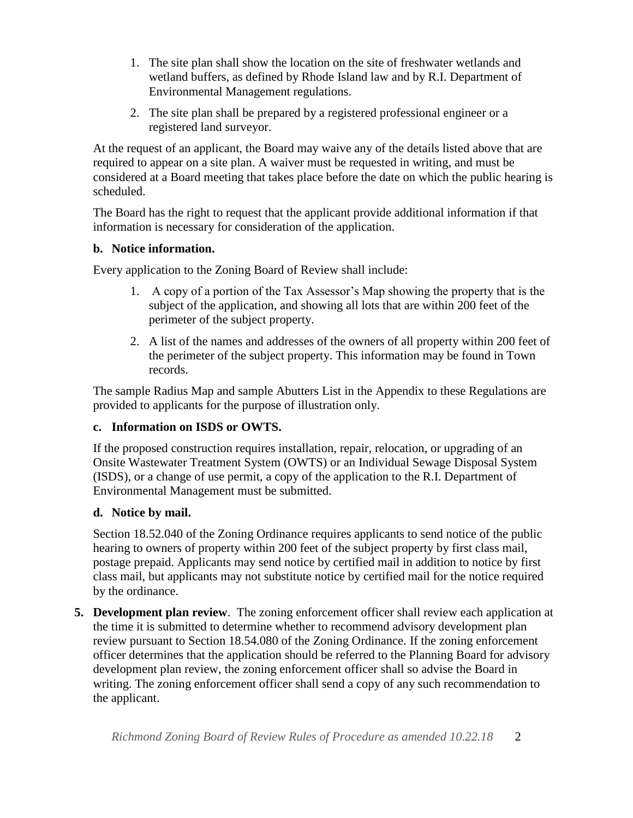- 1. The site plan shall show the location on the site of freshwater wetlands and wetland buffers, as defined by Rhode Island law and by R.I. Department of Environmental Management regulations.
- 2. The site plan shall be prepared by a registered professional engineer or a registered land surveyor.

At the request of an applicant, the Board may waive any of the details listed above that are required to appear on a site plan. A waiver must be requested in writing, and must be considered at a Board meeting that takes place before the date on which the public hearing is scheduled.

The Board has the right to request that the applicant provide additional information if that information is necessary for consideration of the application.

## **b. Notice information.**

Every application to the Zoning Board of Review shall include:

- 1. A copy of a portion of the Tax Assessor's Map showing the property that is the subject of the application, and showing all lots that are within 200 feet of the perimeter of the subject property.
- 2. A list of the names and addresses of the owners of all property within 200 feet of the perimeter of the subject property. This information may be found in Town records.

The sample Radius Map and sample Abutters List in the Appendix to these Regulations are provided to applicants for the purpose of illustration only.

# **c. Information on ISDS or OWTS.**

If the proposed construction requires installation, repair, relocation, or upgrading of an Onsite Wastewater Treatment System (OWTS) or an Individual Sewage Disposal System (ISDS), or a change of use permit, a copy of the application to the R.I. Department of Environmental Management must be submitted.

# **d. Notice by mail.**

Section 18.52.040 of the Zoning Ordinance requires applicants to send notice of the public hearing to owners of property within 200 feet of the subject property by first class mail, postage prepaid. Applicants may send notice by certified mail in addition to notice by first class mail, but applicants may not substitute notice by certified mail for the notice required by the ordinance.

**5. Development plan review**. The zoning enforcement officer shall review each application at the time it is submitted to determine whether to recommend advisory development plan review pursuant to Section 18.54.080 of the Zoning Ordinance. If the zoning enforcement officer determines that the application should be referred to the Planning Board for advisory development plan review, the zoning enforcement officer shall so advise the Board in writing. The zoning enforcement officer shall send a copy of any such recommendation to the applicant.